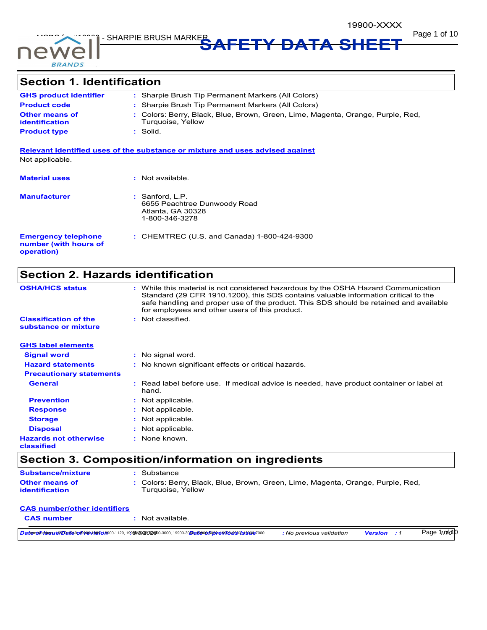



**Page 1 of 10 MSDS SHARPIE BRUSH MARKER AFETY DATA SHEET** 

# **Section 1. Identification**

| <b>GHS product identifier</b>                  | : Sharpie Brush Tip Permanent Markers (All Colors)                                                   |
|------------------------------------------------|------------------------------------------------------------------------------------------------------|
| <b>Product code</b>                            | : Sharpie Brush Tip Permanent Markers (All Colors)                                                   |
| <b>Other means of</b><br><b>identification</b> | : Colors: Berry, Black, Blue, Brown, Green, Lime, Magenta, Orange, Purple, Red,<br>Turquoise, Yellow |
| <b>Product type</b>                            | : Solid.                                                                                             |
|                                                |                                                                                                      |

**Relevant identified uses of the substance or mixture and uses advised against** Not applicable.

| <b>Material uses</b>                                              | : Not available.                                                                       |
|-------------------------------------------------------------------|----------------------------------------------------------------------------------------|
| <b>Manufacturer</b>                                               | : Sanford, L.P.<br>6655 Peachtree Dunwoody Road<br>Atlanta, GA 30328<br>1-800-346-3278 |
| <b>Emergency telephone</b><br>number (with hours of<br>operation) | : CHEMTREC (U.S. and Canada) 1-800-424-9300                                            |

# **Section 2. Hazards identification**

| <b>OSHA/HCS status</b>                               | : While this material is not considered hazardous by the OSHA Hazard Communication<br>Standard (29 CFR 1910.1200), this SDS contains valuable information critical to the<br>safe handling and proper use of the product. This SDS should be retained and available<br>for employees and other users of this product. |
|------------------------------------------------------|-----------------------------------------------------------------------------------------------------------------------------------------------------------------------------------------------------------------------------------------------------------------------------------------------------------------------|
| <b>Classification of the</b><br>substance or mixture | : Not classified.                                                                                                                                                                                                                                                                                                     |
| <b>GHS label elements</b>                            |                                                                                                                                                                                                                                                                                                                       |
| <b>Signal word</b>                                   | : No signal word.                                                                                                                                                                                                                                                                                                     |
| <b>Hazard statements</b>                             | : No known significant effects or critical hazards.                                                                                                                                                                                                                                                                   |
| <b>Precautionary statements</b>                      |                                                                                                                                                                                                                                                                                                                       |
| <b>General</b>                                       | : Read label before use. If medical advice is needed, have product container or label at<br>hand.                                                                                                                                                                                                                     |
| <b>Prevention</b>                                    | : Not applicable.                                                                                                                                                                                                                                                                                                     |
| <b>Response</b>                                      | : Not applicable.                                                                                                                                                                                                                                                                                                     |
| <b>Storage</b>                                       | : Not applicable.                                                                                                                                                                                                                                                                                                     |
| <b>Disposal</b>                                      | : Not applicable.                                                                                                                                                                                                                                                                                                     |
| <b>Hazards not otherwise</b><br>classified           | : None known.                                                                                                                                                                                                                                                                                                         |

# **Section 3. Composition/information on ingredients**

| <b>Substance/mixture</b>                | : Substance                                                                                          |
|-----------------------------------------|------------------------------------------------------------------------------------------------------|
| <b>Other means of</b><br>identification | : Colors: Berry, Black, Blue, Brown, Green, Lime, Magenta, Orange, Purple, Red,<br>Turauoise. Yellow |

### **CAS number :** Not available. **CAS number/other identifiers**

| <mark>Da temovlioidess/e99Datte9oo199@w1089o080</mark> 900-1129, 199 <b>9/2720</b> 2900-3000, 19900-30 <b>Dat99005020;e991069901;e9900</b> 6 | : No previous validation | <b>Version</b> : 1 | Page 1 <i>nofo</i> 10 |
|----------------------------------------------------------------------------------------------------------------------------------------------|--------------------------|--------------------|-----------------------|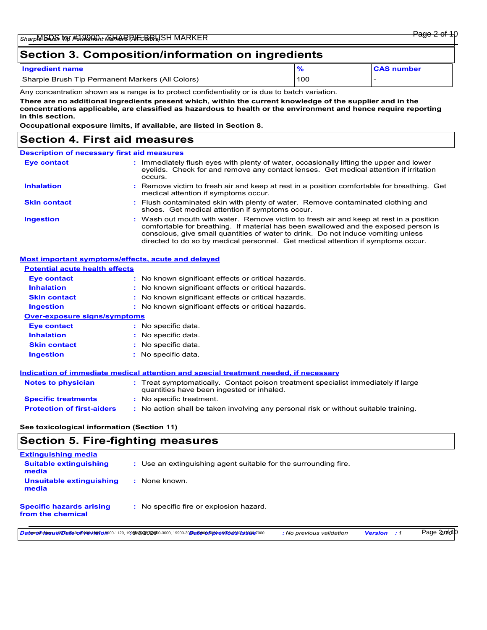## **Section 3. Composition/information on ingredients**

| <b>Ingredient name</b>                           |     | <b>CAS number</b> |
|--------------------------------------------------|-----|-------------------|
| Sharpie Brush Tip Permanent Markers (All Colors) | 100 |                   |

Any concentration shown as a range is to protect confidentiality or is due to batch variation.

**There are no additional ingredients present which, within the current knowledge of the supplier and in the concentrations applicable, are classified as hazardous to health or the environment and hence require reporting in this section.**

**Occupational exposure limits, if available, are listed in Section 8.**

## **Section 4. First aid measures**

| <b>Description of necessary first aid measures</b> |                                                                                                                                                                                                                                                                                                                                                        |
|----------------------------------------------------|--------------------------------------------------------------------------------------------------------------------------------------------------------------------------------------------------------------------------------------------------------------------------------------------------------------------------------------------------------|
| <b>Eye contact</b>                                 | : Immediately flush eyes with plenty of water, occasionally lifting the upper and lower<br>eyelids. Check for and remove any contact lenses. Get medical attention if irritation<br>occurs.                                                                                                                                                            |
| <b>Inhalation</b>                                  | : Remove victim to fresh air and keep at rest in a position comfortable for breathing. Get<br>medical attention if symptoms occur.                                                                                                                                                                                                                     |
| <b>Skin contact</b>                                | : Flush contaminated skin with plenty of water. Remove contaminated clothing and<br>shoes. Get medical attention if symptoms occur.                                                                                                                                                                                                                    |
| <b>Ingestion</b>                                   | : Wash out mouth with water. Remove victim to fresh air and keep at rest in a position<br>comfortable for breathing. If material has been swallowed and the exposed person is<br>conscious, give small quantities of water to drink. Do not induce vomiting unless<br>directed to do so by medical personnel. Get medical attention if symptoms occur. |

### **Most important symptoms/effects, acute and delayed**

#### **Potential acute health effects**

| <b>Eye contact</b>                  | : No known significant effects or critical hazards. |
|-------------------------------------|-----------------------------------------------------|
| <b>Inhalation</b>                   | : No known significant effects or critical hazards. |
| <b>Skin contact</b>                 | : No known significant effects or critical hazards. |
| <b>Ingestion</b>                    | : No known significant effects or critical hazards. |
| <b>Over-exposure signs/symptoms</b> |                                                     |
| <b>Eve contact</b>                  | : No specific data.                                 |
| <b>Inhalation</b>                   | $:$ No specific data.                               |
| <b>Skin contact</b>                 | $:$ No specific data.                               |
| <b>Ingestion</b>                    | : No specific data.                                 |

#### **Indication of immediate medical attention and special treatment needed, if necessary**

| <b>Notes to physician</b>         | : Treat symptomatically. Contact poison treatment specialist immediately if large<br>quantities have been ingested or inhaled. |
|-----------------------------------|--------------------------------------------------------------------------------------------------------------------------------|
| <b>Specific treatments</b>        | : No specific treatment.                                                                                                       |
| <b>Protection of first-aiders</b> | : No action shall be taken involving any personal risk or without suitable training.                                           |

### **See toxicological information (Section 11)**

## **Section 5. Fire-fighting measures**

| <b>Extinguishing media</b>                           |                                                                                                                                        |                          |                |       |             |
|------------------------------------------------------|----------------------------------------------------------------------------------------------------------------------------------------|--------------------------|----------------|-------|-------------|
| <b>Suitable extinguishing</b><br>media               | : Use an extinguishing agent suitable for the surrounding fire.                                                                        |                          |                |       |             |
| Unsuitable extinguishing<br>media                    | : None known.                                                                                                                          |                          |                |       |             |
| <b>Specific hazards arising</b><br>from the chemical | : No specific fire or explosion hazard.                                                                                                |                          |                |       |             |
|                                                      | <b>DatenovEridess/#9Datte9o199@\/089c18</b> 900-1129, 199 <b>90/2020</b> 00-3000, 19900-30 <b>EDatt900-5020.d9900.d9900.is99005000</b> | : No previous validation | <b>Version</b> | . . 1 | Page 2ofo10 |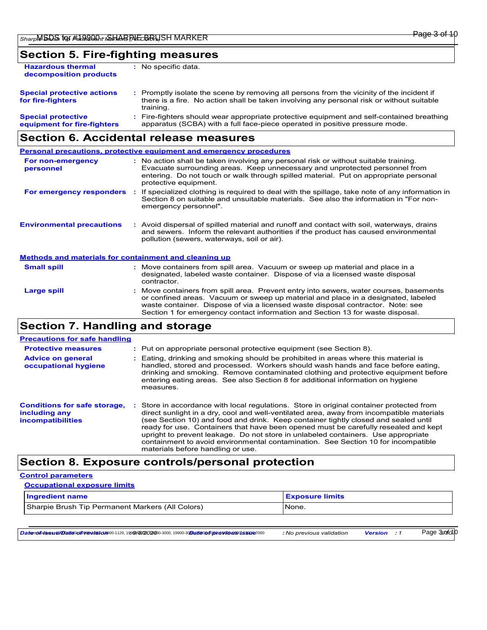## **Section 5. Fire-fighting measures**

| <b>Hazardous thermal</b><br>decomposition products       | No specific data.                                                                                                                                                                                   |
|----------------------------------------------------------|-----------------------------------------------------------------------------------------------------------------------------------------------------------------------------------------------------|
| <b>Special protective actions</b><br>for fire-fighters   | : Promptly isolate the scene by removing all persons from the vicinity of the incident if<br>there is a fire. No action shall be taken involving any personal risk or without suitable<br>training. |
| <b>Special protective</b><br>equipment for fire-fighters | : Fire-fighters should wear appropriate protective equipment and self-contained breathing<br>apparatus (SCBA) with a full face-piece operated in positive pressure mode.                            |

## **Section 6. Accidental release measures**

|                                                              | <b>Personal precautions, protective equipment and emergency procedures</b>                                                                                                                                                                                                                                                                       |
|--------------------------------------------------------------|--------------------------------------------------------------------------------------------------------------------------------------------------------------------------------------------------------------------------------------------------------------------------------------------------------------------------------------------------|
| For non-emergency<br>personnel                               | : No action shall be taken involving any personal risk or without suitable training.<br>Evacuate surrounding areas. Keep unnecessary and unprotected personnel from<br>entering. Do not touch or walk through spilled material. Put on appropriate personal<br>protective equipment.                                                             |
| For emergency responders                                     | If specialized clothing is required to deal with the spillage, take note of any information in<br>Section 8 on suitable and unsuitable materials. See also the information in "For non-<br>emergency personnel".                                                                                                                                 |
| <b>Environmental precautions</b>                             | : Avoid dispersal of spilled material and runoff and contact with soil, waterways, drains<br>and sewers. Inform the relevant authorities if the product has caused environmental<br>pollution (sewers, waterways, soil or air).                                                                                                                  |
| <b>Methods and materials for containment and cleaning up</b> |                                                                                                                                                                                                                                                                                                                                                  |
| <b>Small spill</b>                                           | : Move containers from spill area. Vacuum or sweep up material and place in a<br>designated, labeled waste container. Dispose of via a licensed waste disposal<br>contractor.                                                                                                                                                                    |
| <b>Large spill</b>                                           | : Move containers from spill area. Prevent entry into sewers, water courses, basements<br>or confined areas. Vacuum or sweep up material and place in a designated, labeled<br>waste container. Dispose of via a licensed waste disposal contractor. Note: see<br>Section 1 for emergency contact information and Section 13 for waste disposal. |

# **Section 7. Handling and storage**

| <b>Precautions for safe handling</b>                                             |                                                                                                                                                                                                                                                                                                                                                                                                                                                                                                                                                                                  |
|----------------------------------------------------------------------------------|----------------------------------------------------------------------------------------------------------------------------------------------------------------------------------------------------------------------------------------------------------------------------------------------------------------------------------------------------------------------------------------------------------------------------------------------------------------------------------------------------------------------------------------------------------------------------------|
| <b>Protective measures</b>                                                       | : Put on appropriate personal protective equipment (see Section 8).                                                                                                                                                                                                                                                                                                                                                                                                                                                                                                              |
| <b>Advice on general</b><br>occupational hygiene                                 | Eating, drinking and smoking should be prohibited in areas where this material is<br>handled, stored and processed. Workers should wash hands and face before eating.<br>drinking and smoking. Remove contaminated clothing and protective equipment before<br>entering eating areas. See also Section 8 for additional information on hygiene<br>measures.                                                                                                                                                                                                                      |
| <b>Conditions for safe storage,</b><br>including any<br><i>incompatibilities</i> | Store in accordance with local regulations. Store in original container protected from<br>direct sunlight in a dry, cool and well-ventilated area, away from incompatible materials<br>(see Section 10) and food and drink. Keep container tightly closed and sealed until<br>ready for use. Containers that have been opened must be carefully resealed and kept<br>upright to prevent leakage. Do not store in unlabeled containers. Use appropriate<br>containment to avoid environmental contamination. See Section 10 for incompatible<br>materials before handling or use. |

## **Section 8. Exposure controls/personal protection**

### **Control parameters**

| <b>Occupational exposure limits</b> |  |
|-------------------------------------|--|
|-------------------------------------|--|

| <b>Ingredient name</b>                           | <b>Exposure limits</b> |
|--------------------------------------------------|------------------------|
| Sharpie Brush Tip Permanent Markers (All Colors) | None.                  |

**Datendfulssute/Datesor89@vtbsidB00-1129,1999/8/20200-3000,19900-30Dates0of0pxel980de392@7000 / No previous validation Version : 1** 

Page 3*sofo*10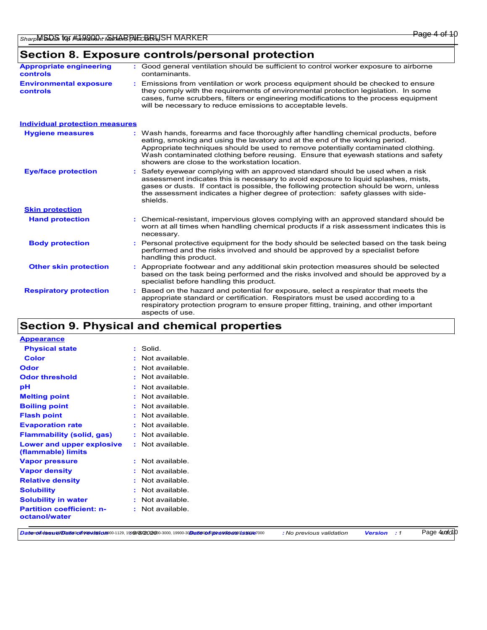# **Section 8. Exposure controls/personal protection**

| <b>Appropriate engineering</b><br>controls | : Good general ventilation should be sufficient to control worker exposure to airborne<br>contaminants.                                                                                                                                                                                                                                                                                           |
|--------------------------------------------|---------------------------------------------------------------------------------------------------------------------------------------------------------------------------------------------------------------------------------------------------------------------------------------------------------------------------------------------------------------------------------------------------|
| <b>Environmental exposure</b><br>controls  | : Emissions from ventilation or work process equipment should be checked to ensure<br>they comply with the requirements of environmental protection legislation. In some<br>cases, fume scrubbers, filters or engineering modifications to the process equipment<br>will be necessary to reduce emissions to acceptable levels.                                                                   |
| <b>Individual protection measures</b>      |                                                                                                                                                                                                                                                                                                                                                                                                   |
| <b>Hygiene measures</b>                    | : Wash hands, forearms and face thoroughly after handling chemical products, before<br>eating, smoking and using the lavatory and at the end of the working period.<br>Appropriate techniques should be used to remove potentially contaminated clothing.<br>Wash contaminated clothing before reusing. Ensure that eyewash stations and safety<br>showers are close to the workstation location. |
| <b>Eye/face protection</b>                 | Safety eyewear complying with an approved standard should be used when a risk<br>assessment indicates this is necessary to avoid exposure to liquid splashes, mists,<br>gases or dusts. If contact is possible, the following protection should be worn, unless<br>the assessment indicates a higher degree of protection: safety glasses with side-<br>shields.                                  |
| <b>Skin protection</b>                     |                                                                                                                                                                                                                                                                                                                                                                                                   |
| <b>Hand protection</b>                     | : Chemical-resistant, impervious gloves complying with an approved standard should be<br>worn at all times when handling chemical products if a risk assessment indicates this is<br>necessary.                                                                                                                                                                                                   |
| <b>Body protection</b>                     | Personal protective equipment for the body should be selected based on the task being<br>performed and the risks involved and should be approved by a specialist before<br>handling this product.                                                                                                                                                                                                 |
| <b>Other skin protection</b>               | Appropriate footwear and any additional skin protection measures should be selected<br>based on the task being performed and the risks involved and should be approved by a<br>specialist before handling this product.                                                                                                                                                                           |
| <b>Respiratory protection</b>              | Based on the hazard and potential for exposure, select a respirator that meets the<br>appropriate standard or certification. Respirators must be used according to a<br>respiratory protection program to ensure proper fitting, training, and other important<br>aspects of use.                                                                                                                 |

# **Section 9. Physical and chemical properties**

| <b>Appearance</b>                                 |                          |
|---------------------------------------------------|--------------------------|
| <b>Physical state</b>                             | : Solid.                 |
| <b>Color</b>                                      | Not available.<br>÷      |
| Odor                                              | Not available<br>÷       |
| <b>Odor threshold</b>                             | Not available.<br>$\sim$ |
| рH                                                | Not available<br>÷       |
| <b>Melting point</b>                              | Not available<br>÷       |
| <b>Boiling point</b>                              | Not available.<br>÷      |
| <b>Flash point</b>                                | Not available.<br>÷      |
| <b>Evaporation rate</b>                           | Not available.<br>÷      |
| <b>Flammability (solid, gas)</b>                  | Not available.<br>÷      |
| Lower and upper explosive<br>(flammable) limits   | : Not available.         |
| <b>Vapor pressure</b>                             | Not available<br>÷.      |
| <b>Vapor density</b>                              | Not available.           |
| <b>Relative density</b>                           | Not available.<br>÷      |
| <b>Solubility</b>                                 | Not available.<br>÷      |
| <b>Solubility in water</b>                        | Not available.<br>÷.     |
| <b>Partition coefficient: n-</b><br>octanol/water | Not available.<br>÷.     |

Datend/brissute/Datesor89@vtbsid1800-1129,1999/8/202900-3000,19900-30Dates0of020re9900499035900e7000 : No previous validation Version : 1

Page 4*uofio*10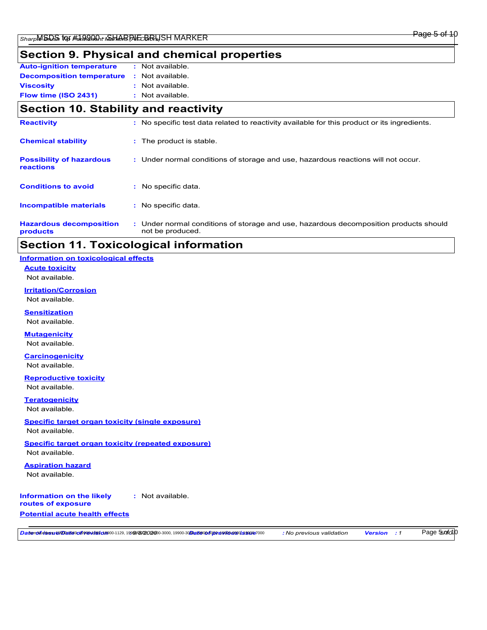# **Section 9. Physical and chemical properties**

| <b>Auto-ignition temperature</b> | : Not available. |
|----------------------------------|------------------|
| <b>Decomposition temperature</b> | : Not available. |
| <b>Viscosity</b>                 | : Not available. |
| Flow time (ISO 2431)             | : Not available. |

## **Section 10. Stability and reactivity**

| <b>Hazardous decomposition</b><br>products   | : Under normal conditions of storage and use, hazardous decomposition products should<br>not be produced. |
|----------------------------------------------|-----------------------------------------------------------------------------------------------------------|
| <b>Incompatible materials</b>                | : No specific data.                                                                                       |
| <b>Conditions to avoid</b>                   | : No specific data.                                                                                       |
| <b>Possibility of hazardous</b><br>reactions | : Under normal conditions of storage and use, hazardous reactions will not occur.                         |
| <b>Chemical stability</b>                    | : The product is stable.                                                                                  |
| <b>Reactivity</b>                            | : No specific test data related to reactivity available for this product or its ingredients.              |

# **Section 11. Toxicological information**

### **Information on toxicological effects**

**Acute toxicity** Not available.

### **Irritation/Corrosion** Not available.

**Sensitization**

Not available.

### **Mutagenicity**

Not available.

#### **Carcinogenicity** Not available.

**Reproductive toxicity**

Not available.

### **Teratogenicity**

Not available.

#### **Specific target organ toxicity (single exposure)** Not available.

**Specific target organ toxicity (repeated exposure)**

Not available.

# **Aspiration hazard**

Not available.

#### **Information on the likely routes of exposure :** Not available.

### **Potential acute health effects**

DatenolfutnesutelDatteloof9tewbside00-1129,1999/8/20200-3000,19900-30Date0of0pt/e9t0d6t0asterion : No previous validation Version : 1

### Page 5*50fo*10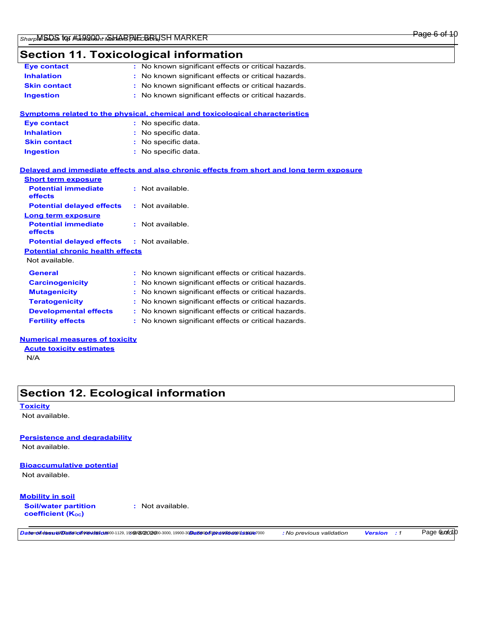## **Section 11. Toxicological information**

| <b>Eye contact</b>  | : No known significant effects or critical hazards. |
|---------------------|-----------------------------------------------------|
| <b>Inhalation</b>   | : No known significant effects or critical hazards. |
| <b>Skin contact</b> | : No known significant effects or critical hazards. |
| <b>Ingestion</b>    | : No known significant effects or critical hazards. |
|                     |                                                     |

|                     | Symptoms related to the physical, chemical and toxicological characteristics |
|---------------------|------------------------------------------------------------------------------|
| <b>Eye contact</b>  | : No specific data.                                                          |
| <b>Inhalation</b>   | : No specific data.                                                          |
| <b>Skin contact</b> | : No specific data.                                                          |
| <b>Ingestion</b>    | $\therefore$ No specific data.                                               |

### Not available. **General :** No known significant effects or critical hazards. **Carcinogenicity :** No known significant effects or critical hazards. **Mutagenicity :** No known significant effects or critical hazards. **Teratogenicity :** No known significant effects or critical hazards. **Potential chronic health effects Delayed and immediate effects and also chronic effects from short and long term exposure Potential immediate effects :** Not available. **Short term exposure Potential delayed effects :** Not available. **Potential immediate effects :** Not available. **Long term exposure Potential delayed effects :** Not available.

**Developmental effects :** No known significant effects or critical hazards. **Fertility effects :** No known significant effects or critical hazards.

**Numerical measures of toxicity**

**Acute toxicity estimates**

N/A

# **Section 12. Ecological information**

**Toxicity**

Not available.

### **Persistence and degradability**

Not available.

## **Bioaccumulative potential**

Not available.

### **Mobility in soil**

**Soil/water partition coefficient (KOC)**

**:** Not available.

DatenolfutnesutelDatteloof9tewbside00-1129,1999/8/20200-3000,19900-30Date0of0pt/e9t0d6t0asterion : No previous validation Version : 1

Page **6cord**<sup>10</sup>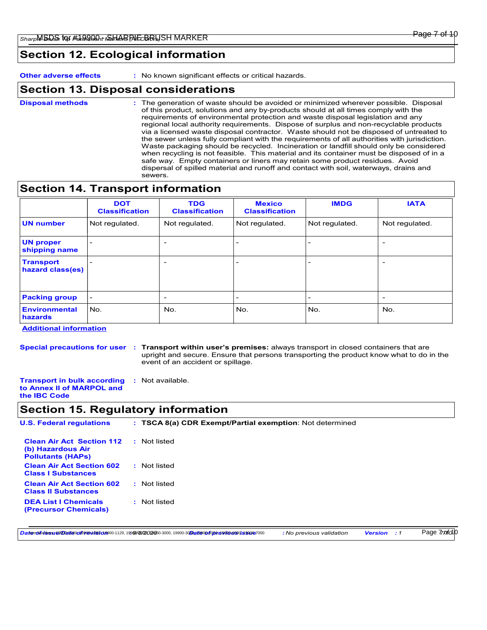## **Section 12. Ecological information**

**Other adverse effects :** No known significant effects or critical hazards.

## **Section 13. Disposal considerations**

The generation of waste should be avoided or minimized wherever possible. Disposal of this product, solutions and any by-products should at all times comply with the requirements of environmental protection and waste disposal legislation and any regional local authority requirements. Dispose of surplus and non-recyclable products via a licensed waste disposal contractor. Waste should not be disposed of untreated to the sewer unless fully compliant with the requirements of all authorities with jurisdiction. Waste packaging should be recycled. Incineration or landfill should only be considered when recycling is not feasible. This material and its container must be disposed of in a safe way. Empty containers or liners may retain some product residues. Avoid dispersal of spilled material and runoff and contact with soil, waterways, drains and sewers. **Disposal methods :**

## **Section 14. Transport information**

|                                      | <b>DOT</b><br><b>Classification</b> | <b>TDG</b><br><b>Classification</b> | <b>Mexico</b><br><b>Classification</b> | <b>IMDG</b>    | <b>IATA</b>              |
|--------------------------------------|-------------------------------------|-------------------------------------|----------------------------------------|----------------|--------------------------|
| <b>UN number</b>                     | Not regulated.                      | Not regulated.                      | Not regulated.                         | Not regulated. | Not regulated.           |
| <b>UN proper</b><br>shipping name    |                                     | $\overline{\phantom{a}}$            | $\overline{\phantom{a}}$               |                | $\overline{\phantom{0}}$ |
| <b>Transport</b><br>hazard class(es) |                                     | $\overline{\phantom{a}}$            | $\overline{\phantom{a}}$               |                | $\overline{\phantom{0}}$ |
| <b>Packing group</b>                 | $\overline{\phantom{a}}$            | $\overline{\phantom{a}}$            | $\overline{\phantom{a}}$               | -              | $\overline{\phantom{0}}$ |
| <b>Environmental</b><br>hazards      | l No.                               | No.                                 | No.                                    | No.            | No.                      |

**Additional information**

**Special precautions for user Transport within user's premises:** always transport in closed containers that are **:** upright and secure. Ensure that persons transporting the product know what to do in the event of an accident or spillage.

**Transport in bulk according :** Not available. **to Annex II of MARPOL and the IBC Code**

## **Section 15. Regulatory information**

| <b>U.S. Federal regulations</b>                                                   | : TSCA 8(a) CDR Exempt/Partial exemption: Not determined |  |
|-----------------------------------------------------------------------------------|----------------------------------------------------------|--|
| <b>Clean Air Act Section 112</b><br>(b) Hazardous Air<br><b>Pollutants (HAPs)</b> | : Not listed                                             |  |
| <b>Clean Air Act Section 602</b><br><b>Class I Substances</b>                     | : Not listed                                             |  |
| <b>Clean Air Act Section 602</b><br><b>Class II Substances</b>                    | : Not listed                                             |  |
| <b>DEA List I Chemicals</b><br>(Precursor Chemicals)                              | : Not listed                                             |  |

Datemolfutbssutel/Dattelsof89@wb89cl8900-1129,1999/8/202000-3000,19900-30Datelsoof/oprevioensorissade7000 : No previous validation Version : 1

Page 7*70fo*10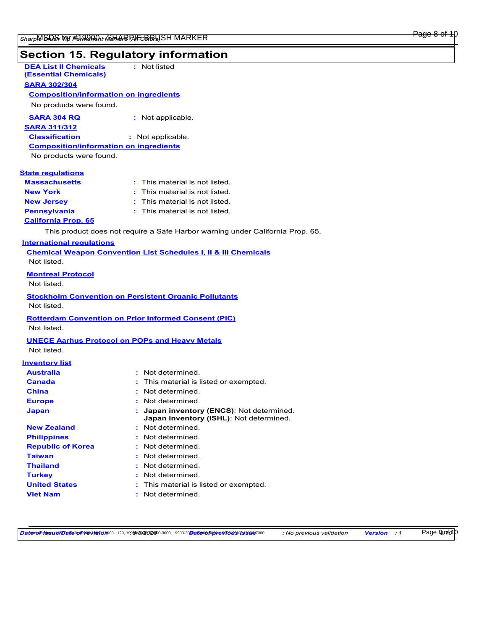## **Section 15. Regulatory information** : This material is not listed. This product does not require a Safe Harbor warning under California Prop. 65. **Massachusetts : California Prop. 65 DEA List II Chemicals (Essential Chemicals) :** Not listed **New York :** This material is not listed. **New Jersey :** This material is not listed. **Pennsylvania :** This material is not listed. **State regulations SARA 302/304 SARA 304 RQ :** Not applicable. No products were found. **Composition/information on ingredients International regulations Chemical Weapon Convention List Schedules I, II & III Chemicals Montreal Protocol** Not listed. Not listed. **SARA 311/312 Classification :** Not applicable. No products were found. **Composition/information on ingredients**

**Stockholm Convention on Persistent Organic Pollutants** Not listed.

**Rotterdam Convention on Prior Informed Consent (PIC)** Not listed.

### **UNECE Aarhus Protocol on POPs and Heavy Metals**

Not listed.

### **Inventory list**

| <b>Australia</b>         | : Not determined                                                                     |
|--------------------------|--------------------------------------------------------------------------------------|
| Canada                   | : This material is listed or exempted.                                               |
| <b>China</b>             | : Not determined.                                                                    |
| <b>Europe</b>            | : Not determined.                                                                    |
| <b>Japan</b>             | : Japan inventory (ENCS): Not determined.<br>Japan inventory (ISHL): Not determined. |
| <b>New Zealand</b>       | : Not determined.                                                                    |
| <b>Philippines</b>       | : Not determined.                                                                    |
| <b>Republic of Korea</b> | : Not determined.                                                                    |
| <b>Taiwan</b>            | : Not determined.                                                                    |
| <b>Thailand</b>          | : Not determined.                                                                    |
| <b>Turkey</b>            | : Not determined.                                                                    |
| <b>United States</b>     | : This material is listed or exempted.                                               |
| <b>Viet Nam</b>          | : Not determined.                                                                    |

DatenolfutnesutelDatteloof9tewbside00-1129,1999/8/20200-3000,19900-30Date0of0pt/e9t0d6t0asterion : No previous validation Version : 1

Page 8<sub>80</sub> fol 0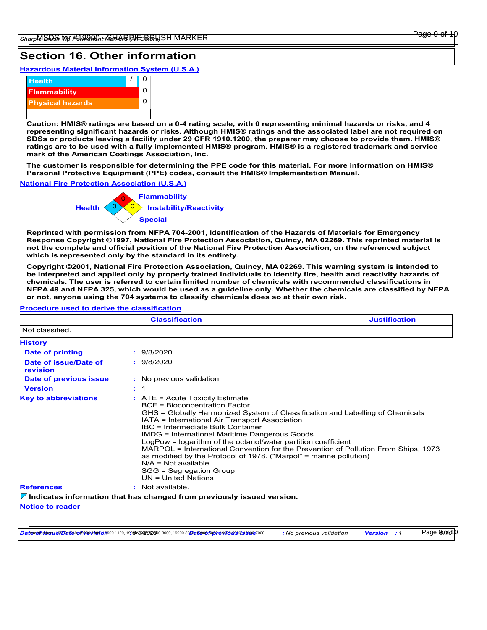#### Page 9 of 10

Page **90** of 010

## **Section 16. Other information**

**Hazardous Material Information System (U.S.A.)**



**Caution: HMIS® ratings are based on a 0-4 rating scale, with 0 representing minimal hazards or risks, and 4 representing significant hazards or risks. Although HMIS® ratings and the associated label are not required on SDSs or products leaving a facility under 29 CFR 1910.1200, the preparer may choose to provide them. HMIS® ratings are to be used with a fully implemented HMIS® program. HMIS® is a registered trademark and service mark of the American Coatings Association, Inc.**

**The customer is responsible for determining the PPE code for this material. For more information on HMIS® Personal Protective Equipment (PPE) codes, consult the HMIS® Implementation Manual.**

#### **National Fire Protection Association (U.S.A.)**



**Reprinted with permission from NFPA 704-2001, Identification of the Hazards of Materials for Emergency Response Copyright ©1997, National Fire Protection Association, Quincy, MA 02269. This reprinted material is not the complete and official position of the National Fire Protection Association, on the referenced subject which is represented only by the standard in its entirety.**

**Copyright ©2001, National Fire Protection Association, Quincy, MA 02269. This warning system is intended to be interpreted and applied only by properly trained individuals to identify fire, health and reactivity hazards of chemicals. The user is referred to certain limited number of chemicals with recommended classifications in NFPA 49 and NFPA 325, which would be used as a guideline only. Whether the chemicals are classified by NFPA or not, anyone using the 704 systems to classify chemicals does so at their own risk.**

#### **Procedure used to derive the classification**

| <b>Classification</b>             |                                                                                                                                                                                                                                                                                                                                                                                                                                                                                                                                                                                                              | <b>Justification</b> |
|-----------------------------------|--------------------------------------------------------------------------------------------------------------------------------------------------------------------------------------------------------------------------------------------------------------------------------------------------------------------------------------------------------------------------------------------------------------------------------------------------------------------------------------------------------------------------------------------------------------------------------------------------------------|----------------------|
| Not classified.                   |                                                                                                                                                                                                                                                                                                                                                                                                                                                                                                                                                                                                              |                      |
| <b>History</b>                    |                                                                                                                                                                                                                                                                                                                                                                                                                                                                                                                                                                                                              |                      |
| Date of printing                  | : 9/8/2020                                                                                                                                                                                                                                                                                                                                                                                                                                                                                                                                                                                                   |                      |
| Date of issue/Date of<br>revision | : 9/8/2020                                                                                                                                                                                                                                                                                                                                                                                                                                                                                                                                                                                                   |                      |
| Date of previous issue            | : No previous validation                                                                                                                                                                                                                                                                                                                                                                                                                                                                                                                                                                                     |                      |
| <b>Version</b>                    | $\therefore$ 1                                                                                                                                                                                                                                                                                                                                                                                                                                                                                                                                                                                               |                      |
| <b>Key to abbreviations</b>       | $:$ ATE = Acute Toxicity Estimate<br><b>BCF</b> = Bioconcentration Factor<br>GHS = Globally Harmonized System of Classification and Labelling of Chemicals<br>IATA = International Air Transport Association<br>IBC = Intermediate Bulk Container<br>IMDG = International Maritime Dangerous Goods<br>LogPow = logarithm of the octanol/water partition coefficient<br>MARPOL = International Convention for the Prevention of Pollution From Ships, 1973<br>as modified by the Protocol of 1978. ("Marpol" = marine pollution)<br>$N/A = Not available$<br>SGG = Segregation Group<br>$UN = United Nations$ |                      |
| <b>References</b>                 | : Not available.                                                                                                                                                                                                                                                                                                                                                                                                                                                                                                                                                                                             |                      |
|                                   | $\nabla$ Indicates information that has changed from previously issued version.                                                                                                                                                                                                                                                                                                                                                                                                                                                                                                                              |                      |

**Notice to reader**

DatenolfutssutelDatesof9revils9caeo0-1129,1999/8/20200-3000,19900-30Dates0of0preserioacocissme7000 : No previous validation Version : 1